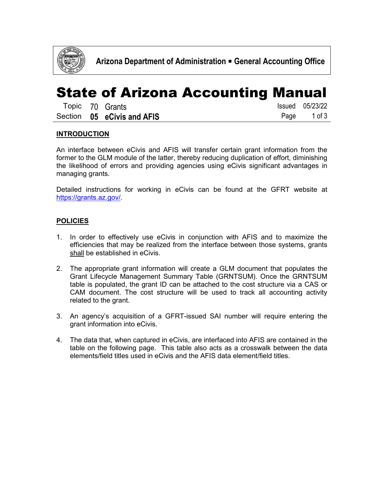

## State of Arizona Accounting Manual

|  | Topic 70 Grants            | Issued 05/23/22 |
|--|----------------------------|-----------------|
|  | Section 05 eCivis and AFIS | Page 1 of 3     |

### **INTRODUCTION**

An interface between eCivis and AFIS will transfer certain grant information from the former to the GLM module of the latter, thereby reducing duplication of effort, diminishing the likelihood of errors and providing agencies using eCivis significant advantages in managing grants.

Detailed instructions for working in eCivis can be found at the GFRT website at [https://grants.az.gov/.](https://grants.az.gov/)

### **POLICIES**

- 1. In order to effectively use eCivis in conjunction with AFIS and to maximize the efficiencies that may be realized from the interface between those systems, grants shall be established in eCivis.
- 2. The appropriate grant information will create a GLM document that populates the Grant Lifecycle Management Summary Table (GRNTSUM). Once the GRNTSUM table is populated, the grant ID can be attached to the cost structure via a CAS or CAM document. The cost structure will be used to track all accounting activity related to the grant.
- 3. An agency's acquisition of a GFRT-issued SAI number will require entering the grant information into eCivis.
- 4. The data that, when captured in eCivis, are interfaced into AFIS are contained in the table on the following page. This table also acts as a crosswalk between the data elements/field titles used in eCivis and the AFIS data element/field titles.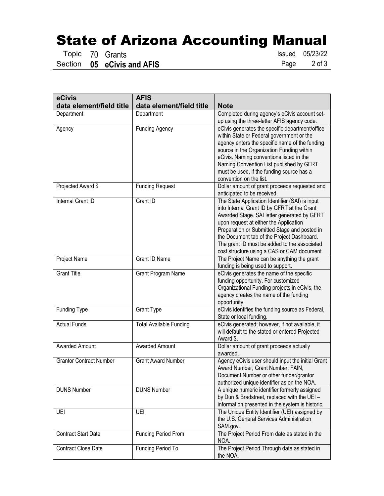# **State of Arizona Accounting Manual<br>
Topic 70 Grants**

05 **eCivis and AFIS** 

Topic 70 Grants **Issued 05/23/22**<br>Section **05 eCivis and AFIS** Page 2 of 3

| eCivis                         | <b>AFIS</b>                    |                                                                                                                                                                                                                                                                                                                                                                                      |
|--------------------------------|--------------------------------|--------------------------------------------------------------------------------------------------------------------------------------------------------------------------------------------------------------------------------------------------------------------------------------------------------------------------------------------------------------------------------------|
| data element/field title       | data element/field title       | <b>Note</b>                                                                                                                                                                                                                                                                                                                                                                          |
| Department                     | Department                     | Completed during agency's eCivis account set-<br>up using the three-letter AFIS agency code.                                                                                                                                                                                                                                                                                         |
| Agency                         | <b>Funding Agency</b>          | eCivis generates the specific department/office<br>within State or Federal government or the<br>agency enters the specific name of the funding<br>source in the Organization Funding within<br>eCivis. Naming conventions listed in the<br>Naming Convention List published by GFRT<br>must be used, if the funding source has a<br>convention on the list.                          |
| Projected Award \$             | <b>Funding Request</b>         | Dollar amount of grant proceeds requested and<br>anticipated to be received.                                                                                                                                                                                                                                                                                                         |
| Internal Grant ID              | Grant ID                       | The State Application Identifier (SAI) is input<br>into Internal Grant ID by GFRT at the Grant<br>Awarded Stage. SAI letter generated by GFRT<br>upon request at either the Application<br>Preparation or Submitted Stage and posted in<br>the Document tab of the Project Dashboard.<br>The grant ID must be added to the associated<br>cost structure using a CAS or CAM document. |
| Project Name                   | <b>Grant ID Name</b>           | The Project Name can be anything the grant<br>funding is being used to support.                                                                                                                                                                                                                                                                                                      |
| <b>Grant Title</b>             | Grant Program Name             | eCivis generates the name of the specific<br>funding opportunity. For customized<br>Organizational Funding projects in eCivis, the<br>agency creates the name of the funding<br>opportunity.                                                                                                                                                                                         |
| Funding Type                   | <b>Grant Type</b>              | eCivis identifies the funding source as Federal,<br>State or local funding.                                                                                                                                                                                                                                                                                                          |
| <b>Actual Funds</b>            | <b>Total Available Funding</b> | eCivis generated; however, if not available, it<br>will default to the stated or entered Projected<br>Award \$.                                                                                                                                                                                                                                                                      |
| Awarded Amount                 | Awarded Amount                 | Dollar amount of grant proceeds actually<br>awarded.                                                                                                                                                                                                                                                                                                                                 |
| <b>Grantor Contract Number</b> | <b>Grant Award Number</b>      | Agency eCivis user should input the initial Grant<br>Award Number, Grant Number, FAIN,<br>Document Number or other funder/grantor<br>authorized unique identifier as on the NOA.                                                                                                                                                                                                     |
| <b>DUNS Number</b>             | <b>DUNS Number</b>             | A unique numeric identifier formerly assigned<br>by Dun & Bradstreet, replaced with the UEI -<br>information presented in the system is historic.                                                                                                                                                                                                                                    |
| UEI                            | UEI                            | The Unique Entity Identifier (UEI) assigned by<br>the U.S. General Services Administration<br>SAM.gov.                                                                                                                                                                                                                                                                               |
| <b>Contract Start Date</b>     | Funding Period From            | The Project Period From date as stated in the<br>NOA.                                                                                                                                                                                                                                                                                                                                |
| <b>Contract Close Date</b>     | <b>Funding Period To</b>       | The Project Period Through date as stated in<br>the NOA.                                                                                                                                                                                                                                                                                                                             |